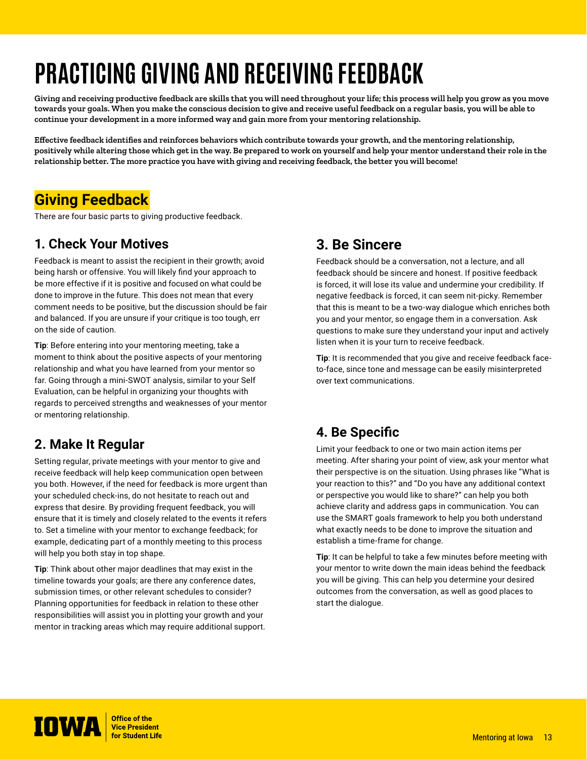# **PRACTICING GIVING AND RECEIVING FEEDBACK**

**Giving and receiving productive feedback are skills that you will need throughout your life; this process will help you grow as you move towards your goals. When you make the conscious decision to give and receive useful feedback on a regular basis, you will be able to continue your development in a more informed way and gain more from your mentoring relationship.**

**Effective feedback identifies and reinforces behaviors which contribute towards your growth, and the mentoring relationship, positively while altering those which get in the way. Be prepared to work on yourself and help your mentor understand their role in the relationship better. The more practice you have with giving and receiving feedback, the better you will become!**

# **Giving Feedback**

There are four basic parts to giving productive feedback.

#### **1. Check Your Motives**

Feedback is meant to assist the recipient in their growth; avoid being harsh or offensive. You will likely find your approach to be more effective if it is positive and focused on what could be done to improve in the future. This does not mean that every comment needs to be positive, but the discussion should be fair and balanced. If you are unsure if your critique is too tough, err on the side of caution.

**Tip**: Before entering into your mentoring meeting, take a moment to think about the positive aspects of your mentoring relationship and what you have learned from your mentor so far. Going through a mini-SWOT analysis, similar to your Self Evaluation, can be helpful in organizing your thoughts with regards to perceived strengths and weaknesses of your mentor or mentoring relationship.

# **2. Make It Regular**

Setting regular, private meetings with your mentor to give and receive feedback will help keep communication open between you both. However, if the need for feedback is more urgent than your scheduled check-ins, do not hesitate to reach out and express that desire. By providing frequent feedback, you will ensure that it is timely and closely related to the events it refers to. Set a timeline with your mentor to exchange feedback; for example, dedicating part of a monthly meeting to this process will help you both stay in top shape.

**Tip**: Think about other major deadlines that may exist in the timeline towards your goals; are there any conference dates, submission times, or other relevant schedules to consider? Planning opportunities for feedback in relation to these other responsibilities will assist you in plotting your growth and your mentor in tracking areas which may require additional support.

## **3. Be Sincere**

Feedback should be a conversation, not a lecture, and all feedback should be sincere and honest. If positive feedback is forced, it will lose its value and undermine your credibility. If negative feedback is forced, it can seem nit-picky. Remember that this is meant to be a two-way dialogue which enriches both you and your mentor, so engage them in a conversation. Ask questions to make sure they understand your input and actively listen when it is your turn to receive feedback.

**Tip**: It is recommended that you give and receive feedback faceto-face, since tone and message can be easily misinterpreted over text communications.

# **4. Be Specific**

Limit your feedback to one or two main action items per meeting. After sharing your point of view, ask your mentor what their perspective is on the situation. Using phrases like "What is your reaction to this?" and "Do you have any additional context or perspective you would like to share?" can help you both achieve clarity and address gaps in communication. You can use the SMART goals framework to help you both understand what exactly needs to be done to improve the situation and establish a time-frame for change.

**Tip**: It can be helpful to take a few minutes before meeting with your mentor to write down the main ideas behind the feedback you will be giving. This can help you determine your desired outcomes from the conversation, as well as good places to start the dialogue.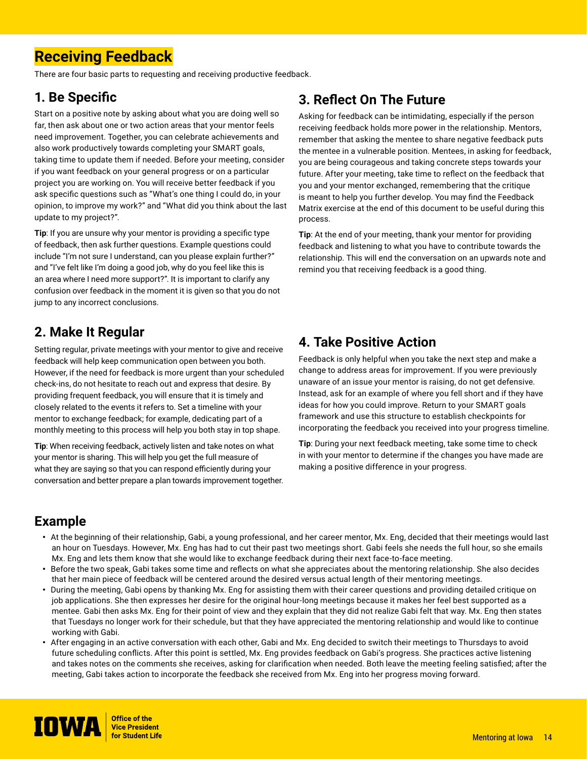# **Receiving Feedback**

There are four basic parts to requesting and receiving productive feedback.

#### **1. Be Specific**

Start on a positive note by asking about what you are doing well so far, then ask about one or two action areas that your mentor feels need improvement. Together, you can celebrate achievements and also work productively towards completing your SMART goals, taking time to update them if needed. Before your meeting, consider if you want feedback on your general progress or on a particular project you are working on. You will receive better feedback if you ask specific questions such as "What's one thing I could do, in your opinion, to improve my work?" and "What did you think about the last update to my project?".

**Tip**: If you are unsure why your mentor is providing a specific type of feedback, then ask further questions. Example questions could include "I'm not sure I understand, can you please explain further?" and "I've felt like I'm doing a good job, why do you feel like this is an area where I need more support?". It is important to clarify any confusion over feedback in the moment it is given so that you do not jump to any incorrect conclusions.

## **2. Make It Regular**

Setting regular, private meetings with your mentor to give and receive feedback will help keep communication open between you both. However, if the need for feedback is more urgent than your scheduled check-ins, do not hesitate to reach out and express that desire. By providing frequent feedback, you will ensure that it is timely and closely related to the events it refers to. Set a timeline with your mentor to exchange feedback; for example, dedicating part of a monthly meeting to this process will help you both stay in top shape.

**Tip**: When receiving feedback, actively listen and take notes on what your mentor is sharing. This will help you get the full measure of what they are saying so that you can respond efficiently during your conversation and better prepare a plan towards improvement together.

# **3. Reflect On The Future**

Asking for feedback can be intimidating, especially if the person receiving feedback holds more power in the relationship. Mentors, remember that asking the mentee to share negative feedback puts the mentee in a vulnerable position. Mentees, in asking for feedback, you are being courageous and taking concrete steps towards your future. After your meeting, take time to reflect on the feedback that you and your mentor exchanged, remembering that the critique is meant to help you further develop. You may find the Feedback Matrix exercise at the end of this document to be useful during this process.

**Tip**: At the end of your meeting, thank your mentor for providing feedback and listening to what you have to contribute towards the relationship. This will end the conversation on an upwards note and remind you that receiving feedback is a good thing.

#### **4. Take Positive Action**

Feedback is only helpful when you take the next step and make a change to address areas for improvement. If you were previously unaware of an issue your mentor is raising, do not get defensive. Instead, ask for an example of where you fell short and if they have ideas for how you could improve. Return to your SMART goals framework and use this structure to establish checkpoints for incorporating the feedback you received into your progress timeline.

**Tip**: During your next feedback meeting, take some time to check in with your mentor to determine if the changes you have made are making a positive difference in your progress.

## **Example**

- At the beginning of their relationship, Gabi, a young professional, and her career mentor, Mx. Eng, decided that their meetings would last an hour on Tuesdays. However, Mx. Eng has had to cut their past two meetings short. Gabi feels she needs the full hour, so she emails Mx. Eng and lets them know that she would like to exchange feedback during their next face-to-face meeting.
- Before the two speak, Gabi takes some time and reflects on what she appreciates about the mentoring relationship. She also decides that her main piece of feedback will be centered around the desired versus actual length of their mentoring meetings.
- During the meeting, Gabi opens by thanking Mx. Eng for assisting them with their career questions and providing detailed critique on job applications. She then expresses her desire for the original hour-long meetings because it makes her feel best supported as a mentee. Gabi then asks Mx. Eng for their point of view and they explain that they did not realize Gabi felt that way. Mx. Eng then states that Tuesdays no longer work for their schedule, but that they have appreciated the mentoring relationship and would like to continue working with Gabi.
- After engaging in an active conversation with each other, Gabi and Mx. Eng decided to switch their meetings to Thursdays to avoid future scheduling conflicts. After this point is settled, Mx. Eng provides feedback on Gabi's progress. She practices active listening and takes notes on the comments she receives, asking for clarification when needed. Both leave the meeting feeling satisfied; after the meeting, Gabi takes action to incorporate the feedback she received from Mx. Eng into her progress moving forward.